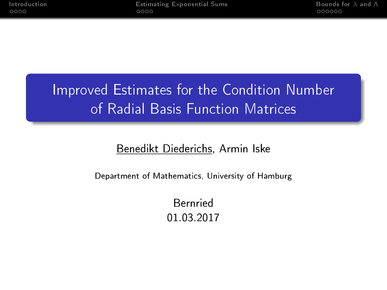## Improved Estimates for the Condition Number of Radial Basis Function Matrices

#### Benedikt Diederichs, Armin Iske

Department of Mathematics, University of Hamburg

Bernried 01.03.2017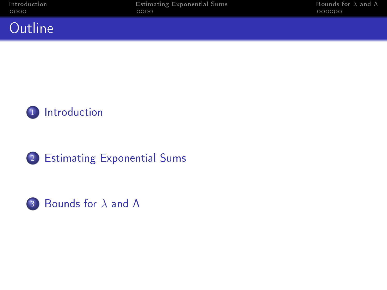### **Outline**





#### 2 [Estimating Exponential Sums](#page-10-0)

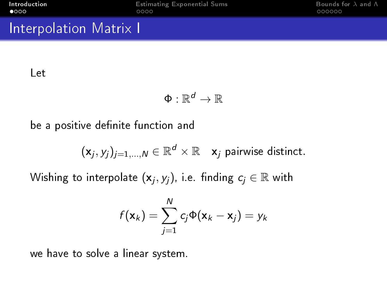#### <span id="page-2-0"></span>Interpolation Matrix I

#### Let

$$
\Phi:\mathbb{R}^d\to\mathbb{R}
$$

be a positive definite function and

$$
(x_j, y_j)_{j=1,\dots,N} \in \mathbb{R}^d \times \mathbb{R}
$$
  $x_j$  pairwise distinct.

Wishing to interpolate  $(\mathsf{x}_j,y_j)$ , i.e. finding  $c_j \in \mathbb{R}$  with

$$
f(\mathbf{x}_k) = \sum_{j=1}^N c_j \Phi(\mathbf{x}_k - \mathbf{x}_j) = y_k
$$

we have to solve a linear system.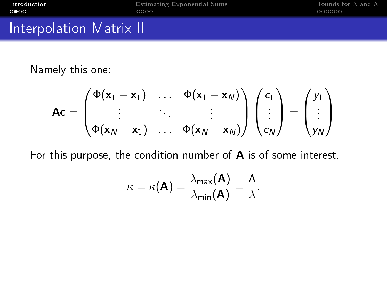#### Interpolation Matrix II

Namely this one:

$$
Ac = \begin{pmatrix} \Phi(x_1 - x_1) & \dots & \Phi(x_1 - x_N) \\ \vdots & \vdots & \vdots \\ \Phi(x_N - x_1) & \dots & \Phi(x_N - x_N) \end{pmatrix} \begin{pmatrix} c_1 \\ \vdots \\ c_N \end{pmatrix} = \begin{pmatrix} y_1 \\ y_N \end{pmatrix}
$$

For this purpose, the condition number of A is of some interest.

$$
\kappa = \kappa(\mathbf{A}) = \frac{\lambda_{\max}(\mathbf{A})}{\lambda_{\min}(\mathbf{A})} = \frac{\Lambda}{\lambda}.
$$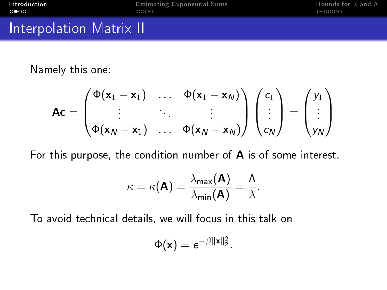#### Interpolation Matrix II

Namely this one:

$$
Ac = \begin{pmatrix} \Phi(x_1 - x_1) & \dots & \Phi(x_1 - x_N) \\ \vdots & \vdots & \vdots \\ \Phi(x_N - x_1) & \dots & \Phi(x_N - x_N) \end{pmatrix} \begin{pmatrix} c_1 \\ \vdots \\ c_N \end{pmatrix} = \begin{pmatrix} y_1 \\ y_N \end{pmatrix}
$$

For this purpose, the condition number of A is of some interest.

$$
\kappa = \kappa(\mathbf{A}) = \frac{\lambda_{\max}(\mathbf{A})}{\lambda_{\min}(\mathbf{A})} = \frac{\Lambda}{\lambda}.
$$

To avoid technical details, we will focus in this talk on

$$
\Phi(\mathbf{x})=e^{-\beta\|\mathbf{x}\|_2^2}.
$$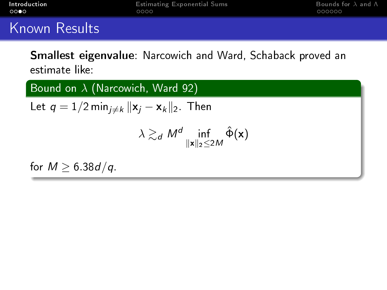Smallest eigenvalue: Narcowich and Ward, Schaback proved an estimate like:

Bound on  $\lambda$  (Narcowich, Ward 92) Let  $q = 1/2$  min $_{i \neq k} ||\mathbf{x}_i - \mathbf{x}_k||_2$ . Then  $\lambda \gtrsim_d M^d \inf_{\|\mathbf{x}\|_2 \leq 2M} \hat{\Phi}(\mathbf{x})$ for  $M \geq 6.38d/q$ .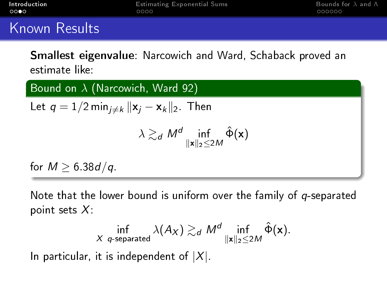Smallest eigenvalue: Narcowich and Ward, Schaback proved an estimate like:

Bound on  $\lambda$  (Narcowich, Ward 92) Let  $q = 1/2$  min $_{i \neq k} ||\mathbf{x}_i - \mathbf{x}_k||_2$ . Then  $\lambda \gtrsim_d M^d \inf_{\|\mathbf{x}\|_2 \leq 2M} \hat{\Phi}(\mathbf{x})$ for  $M \geq 6.38d/q$ .

Note that the lower bound is uniform over the family of  $q$ -separated point sets  $X$ :

$$
\inf_{X \text{ } q\text{-separated}} \lambda(A_X) \gtrsim_d M^d \inf_{\|x\|_2 \leq 2M} \hat{\Phi}(x).
$$

In particular, it is independent of  $|X|$ .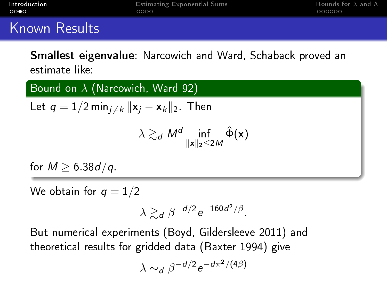Smallest eigenvalue: Narcowich and Ward, Schaback proved an estimate like:

Bound on  $\lambda$  (Narcowich, Ward 92) Let  $q = 1/2$  min $_{i \neq k} ||\mathbf{x}_i - \mathbf{x}_k||_2$ . Then  $\lambda \gtrsim_d M^d \inf_{\|\mathbf{x}\|_2 \leq 2M} \hat{\Phi}(\mathbf{x})$ 

for  $M \geq 6.38d/q$ .

We obtain for  $q = 1/2$ 

$$
\lambda \gtrsim_d \beta^{-d/2} e^{-160d^2/\beta}.
$$

But numerical experiments (Boyd, Gildersleeve 2011) and theoretical results for gridded data (Baxter 1994) give

$$
\lambda \sim_d \beta^{-d/2} e^{-d\pi^2/(4\beta)}
$$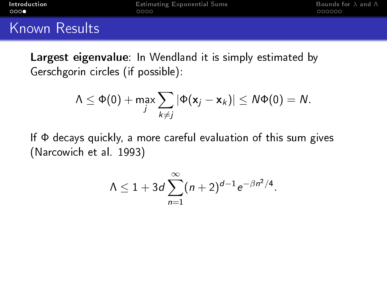Largest eigenvalue: In Wendland it is simply estimated by Gerschgorin circles (if possible):

$$
\Lambda \leq \Phi(0) + \max_j \sum_{k \neq j} |\Phi(\mathbf{x}_j - \mathbf{x}_k)| \leq N\Phi(0) = N.
$$

If  $\Phi$  decays quickly, a more careful evaluation of this sum gives (Narcowich et al. 1993)

$$
\Lambda \leq 1 + 3d \sum_{n=1}^{\infty} (n+2)^{d-1} e^{-\beta n^2/4}.
$$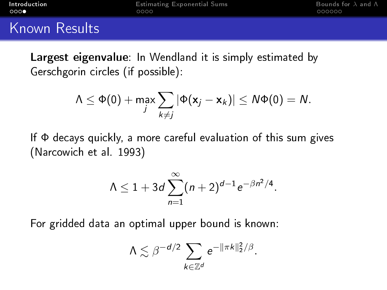Largest eigenvalue: In Wendland it is simply estimated by Gerschgorin circles (if possible):

$$
\Lambda \leq \Phi(0) + \max_j \sum_{k \neq j} |\Phi(\mathbf{x}_j - \mathbf{x}_k)| \leq N\Phi(0) = N.
$$

If  $\Phi$  decays quickly, a more careful evaluation of this sum gives (Narcowich et al. 1993)

$$
\Lambda \leq 1 + 3d \sum_{n=1}^{\infty} (n+2)^{d-1} e^{-\beta n^2/4}.
$$

For gridded data an optimal upper bound is known:

$$
\Lambda \lesssim \beta^{-d/2} \sum_{k \in \mathbb{Z}^d} e^{-\|\pi k\|_2^2/\beta}.
$$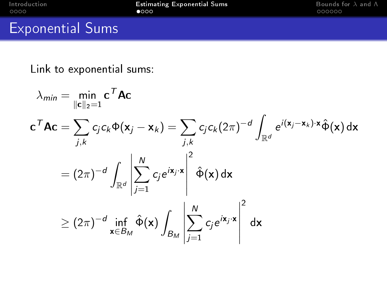<span id="page-10-0"></span>

[Introduction](#page-2-0) [Estimating Exponential Sums](#page-10-0) [Bounds for](#page-19-0) λ and Λ

### Exponential Sums

Link to exponential sums:

$$
\lambda_{min} = \min_{\|\mathbf{c}\|_2 = 1} \mathbf{c}^T \mathbf{A} \mathbf{c}
$$
\n
$$
\mathbf{c}^T \mathbf{A} \mathbf{c} = \sum_{j,k} c_j c_k \Phi(\mathbf{x}_j - \mathbf{x}_k) = \sum_{j,k} c_j c_k (2\pi)^{-d} \int_{\mathbb{R}^d} e^{i(\mathbf{x}_j - \mathbf{x}_k) \cdot \mathbf{x}} \hat{\Phi}(\mathbf{x}) d\mathbf{x}
$$
\n
$$
= (2\pi)^{-d} \int_{\mathbb{R}^d} \left| \sum_{j=1}^N c_j e^{i\mathbf{x}_j \cdot \mathbf{x}} \right|^2 \hat{\Phi}(\mathbf{x}) d\mathbf{x}
$$
\n
$$
\ge (2\pi)^{-d} \inf_{\mathbf{x} \in B_M} \hat{\Phi}(\mathbf{x}) \int_{B_M} \left| \sum_{j=1}^N c_j e^{i\mathbf{x}_j \cdot \mathbf{x}} \right|^2 d\mathbf{x}
$$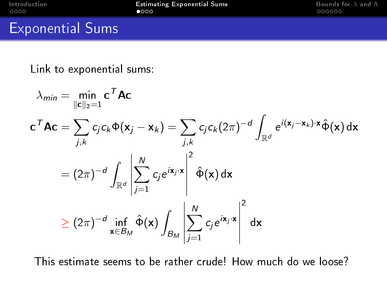[Introduction](#page-2-0) **[Estimating Exponential Sums](#page-10-0)** [Bounds for](#page-19-0) λ and Λ<sup>ι</sup><br>10000 000000 **00000** 

#### Exponential Sums

Link to exponential sums:

$$
\lambda_{min} = \min_{\|\mathbf{c}\|_2 = 1} \mathbf{c}^T \mathbf{A} \mathbf{c}
$$
\n
$$
\mathbf{c}^T \mathbf{A} \mathbf{c} = \sum_{j,k} c_j c_k \Phi(\mathbf{x}_j - \mathbf{x}_k) = \sum_{j,k} c_j c_k (2\pi)^{-d} \int_{\mathbb{R}^d} e^{i(\mathbf{x}_j - \mathbf{x}_k) \cdot \mathbf{x}} \hat{\Phi}(\mathbf{x}) d\mathbf{x}
$$
\n
$$
= (2\pi)^{-d} \int_{\mathbb{R}^d} \left| \sum_{j=1}^N c_j e^{i\mathbf{x}_j \cdot \mathbf{x}} \right|^2 \hat{\Phi}(\mathbf{x}) d\mathbf{x}
$$
\n
$$
\ge (2\pi)^{-d} \inf_{\mathbf{x} \in B_M} \hat{\Phi}(\mathbf{x}) \int_{B_M} \left| \sum_{j=1}^N c_j e^{i\mathbf{x}_j \cdot \mathbf{x}} \right|^2 d\mathbf{x}
$$

This estimate seems to be rather crude! How much do we loose?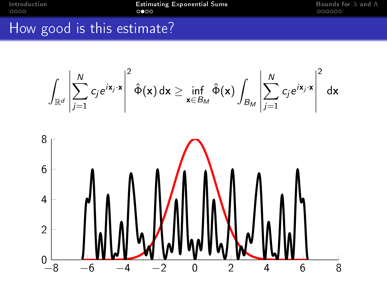[Introduction](#page-2-0) **[Estimating Exponential Sums](#page-10-0)** [Bounds for](#page-19-0) λ and Λ<br> **OO**OO **DOOOO OOOOO** 

#### How good is this estimate?

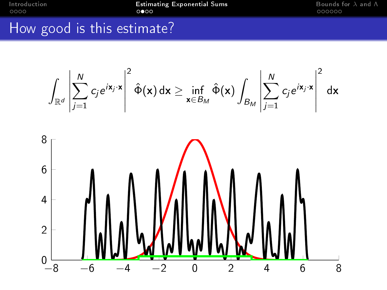[Introduction](#page-2-0) **[Estimating Exponential Sums](#page-10-0)** [Bounds for](#page-19-0) λ and Λ<br> **OO**OO **DOOOO OOOOO** 

#### How good is this estimate?

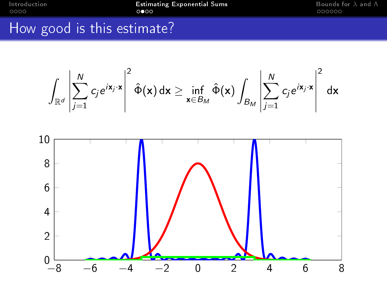[Introduction](#page-2-0) **Extimating Exponential Sums** [Bounds for](#page-19-0) λ and Λ<br> **OOOO** 000000

### How good is this estimate?

$$
\int_{\mathbb{R}^d} \left| \sum_{j=1}^N c_j e^{i\mathbf{x}_j \cdot \mathbf{x}} \right|^2 \hat{\Phi}(\mathbf{x}) d\mathbf{x} \ge \inf_{\mathbf{x} \in B_M} \hat{\Phi}(\mathbf{x}) \int_{B_M} \left| \sum_{j=1}^N c_j e^{i\mathbf{x}_j \cdot \mathbf{x}} \right|^2 d\mathbf{x}
$$

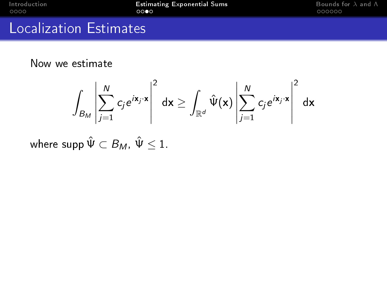[Introduction](#page-2-0) **[Estimating Exponential Sums](#page-10-0)** [Bounds for](#page-19-0) λ and Λ<br>10000 000000 **DOO** 0000 0000

#### Localization Estimates

Now we estimate

$$
\int_{B_M} \left| \sum_{j=1}^N c_j e^{i\mathbf{x}_j \cdot \mathbf{x}} \right|^2 d\mathbf{x} \ge \int_{\mathbb{R}^d} \hat{\Psi}(\mathbf{x}) \left| \sum_{j=1}^N c_j e^{i\mathbf{x}_j \cdot \mathbf{x}} \right|^2 d\mathbf{x}
$$

where supp  $\hat{\Psi} \subset B_M$ ,  $\hat{\Psi} \leq 1$ .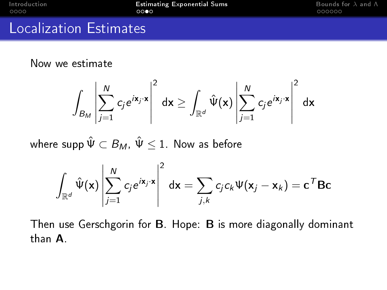[Introduction](#page-2-0) **[Estimating Exponential Sums](#page-10-0)** [Bounds for](#page-19-0) λ and Λ<br> **OOOO** 000000

#### Localization Estimates

Now we estimate

$$
\int_{B_M} \left| \sum_{j=1}^N c_j e^{i\mathbf{x}_j \cdot \mathbf{x}} \right|^2 d\mathbf{x} \ge \int_{\mathbb{R}^d} \hat{\Psi}(\mathbf{x}) \left| \sum_{j=1}^N c_j e^{i\mathbf{x}_j \cdot \mathbf{x}} \right|^2 d\mathbf{x}
$$

where supp  $\hat{\Psi} \subset B_M$ ,  $\hat{\Psi} \leq 1$ . Now as before

$$
\int_{\mathbb{R}^d} \hat{\Psi}(\mathbf{x}) \left| \sum_{j=1}^N c_j e^{i\mathbf{x}_j \cdot \mathbf{x}} \right|^2 d\mathbf{x} = \sum_{j,k} c_j c_k \Psi(\mathbf{x}_j - \mathbf{x}_k) = \mathbf{c}^T \mathbf{B} \mathbf{c}
$$

Then use Gerschgorin for B. Hope: B is more diagonally dominant than A.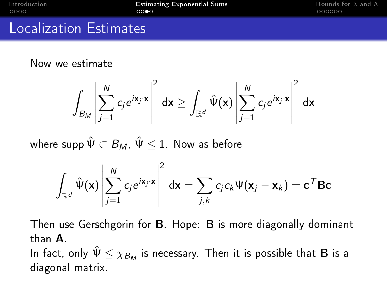[Introduction](#page-2-0) **[Estimating Exponential Sums](#page-10-0)** [Bounds for](#page-19-0) λ and Λ<br> **OOOO Bounds for λ** and Λ<br> **OOOOO** *OOOOO* 

00000

#### Localization Estimates

Now we estimate

$$
\int_{B_M} \left| \sum_{j=1}^N c_j e^{i\mathbf{x}_j \cdot \mathbf{x}} \right|^2 d\mathbf{x} \ge \int_{\mathbb{R}^d} \hat{\Psi}(\mathbf{x}) \left| \sum_{j=1}^N c_j e^{i\mathbf{x}_j \cdot \mathbf{x}} \right|^2 d\mathbf{x}
$$

where supp  $\hat{\Psi} \subset B_M$ ,  $\hat{\Psi} \leq 1$ . Now as before

$$
\int_{\mathbb{R}^d} \hat{\Psi}(\mathbf{x}) \left| \sum_{j=1}^N c_j e^{i\mathbf{x}_j \cdot \mathbf{x}} \right|^2 d\mathbf{x} = \sum_{j,k} c_j c_k \Psi(\mathbf{x}_j - \mathbf{x}_k) = \mathbf{c}^T \mathbf{B} \mathbf{c}
$$

Then use Gerschgorin for B. Hope: B is more diagonally dominant than A.

In fact, only  $\hat{\bm{\mathsf{V}}} \leq \chi_{\mathcal{B}_\mathcal{M}}$  is necessary. Then it is possible that  $\mathbf B$  is a diagonal matrix.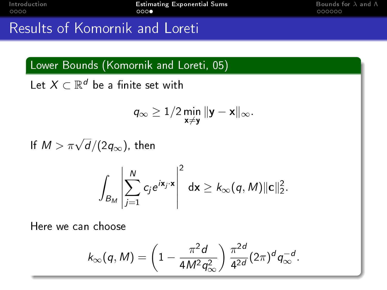000000

## Results of Komornik and Loreti

Lower Bounds (Komornik and Loreti, 05)

Let  $X \subset \mathbb{R}^d$  be a finite set with

$$
q_\infty \geq 1/2 \min_{\mathbf{x}\neq \mathbf{y}} \|\mathbf{y} - \mathbf{x}\|_\infty.
$$

If  $M > \pi \sqrt{d}/(2q_\infty)$ , then

$$
\int_{B_M} \left| \sum_{j=1}^N c_j e^{i\mathbf{x}_j \cdot \mathbf{x}} \right|^2 d\mathbf{x} \geq k_\infty(q, M) \| \mathbf{c} \|_2^2.
$$

Here we can choose

$$
k_{\infty}(q, M) = \left(1 - \frac{\pi^2 d}{4M^2 q_{\infty}^2}\right) \frac{\pi^{2d}}{4^{2d}} (2\pi)^d q_{\infty}^{-d}.
$$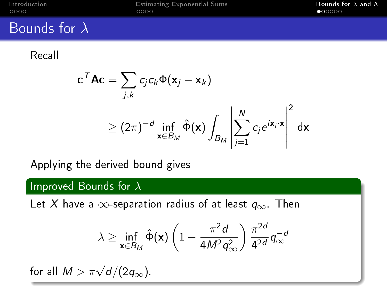<span id="page-19-0"></span>

[Introduction](#page-2-0) [Estimating Exponential Sums](#page-10-0)<br>
0000 **[Bounds for](#page-19-0) λ and Λ**<br>
0000 **e** 00000

#### Bounds for  $\lambda$

Recall

$$
c^T A c = \sum_{j,k} c_j c_k \Phi(\mathbf{x}_j - \mathbf{x}_k)
$$
  
\n
$$
\geq (2\pi)^{-d} \inf_{\mathbf{x} \in B_M} \hat{\Phi}(\mathbf{x}) \int_{B_M} \left| \sum_{j=1}^N c_j e^{i\mathbf{x}_j \cdot \mathbf{x}} \right|^2 d\mathbf{x}
$$

Applying the derived bound gives

#### Improved Bounds for  $\lambda$

Let X have a  $\infty$ -separation radius of at least  $q_{\infty}$ . Then

$$
\lambda \geq \inf_{\mathbf{x} \in B_M} \hat{\Phi}(\mathbf{x}) \left(1 - \frac{\pi^2 d}{4M^2 q_\infty^2}\right) \frac{\pi^{2d}}{4^{2d}} q_\infty^{-d}
$$

for all  $M > \pi\sqrt{d}/(2q_\infty)$ .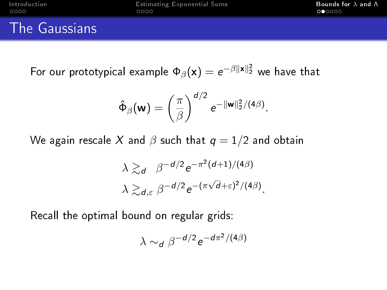[Introduction](#page-2-0) [Estimating Exponential Sums](#page-10-0)<br>
OOOO **D**OOOO **DOO**OOO **DOOO** 

 $000000$ 

#### The Gaussians

For our prototypical example  $\Phi_\beta(\mathsf{x}) = e^{-\beta \|\mathsf{x}\|_2^2}$  we have that

$$
\hat{\Phi}_{\beta}(\mathbf{w}) = \left(\frac{\pi}{\beta}\right)^{d/2} e^{-\|\mathbf{w}\|_2^2/(4\beta)}.
$$

We again rescale X and  $\beta$  such that  $q = 1/2$  and obtain

$$
\lambda \gtrsim_d \beta^{-d/2} e^{-\pi^2(d+1)/(4\beta)}
$$
  

$$
\lambda \gtrsim_{d,\varepsilon} \beta^{-d/2} e^{-(\pi\sqrt{d}+\varepsilon)^2/(4\beta)}.
$$

Recall the optimal bound on regular grids:

$$
\lambda \sim_d \beta^{-d/2} e^{-d\pi^2/(4\beta)}
$$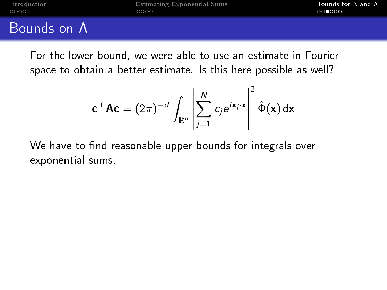#### Bounds on Λ

For the lower bound, we were able to use an estimate in Fourier space to obtain a better estimate. Is this here possible as well?

$$
\mathbf{c}^{\mathsf{T}} \mathbf{A} \mathbf{c} = (2\pi)^{-d} \int_{\mathbb{R}^d} \left| \sum_{j=1}^N c_j e^{i\mathbf{x}_j \cdot \mathbf{x}} \right|^2 \hat{\Phi}(\mathbf{x}) d\mathbf{x}
$$

We have to find reasonable upper bounds for integrals over exponential sums.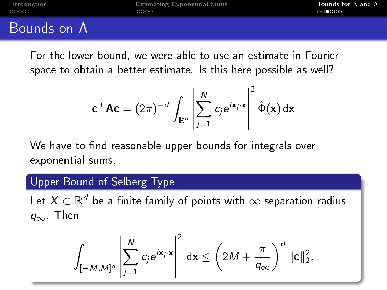#### Bounds on Λ

For the lower bound, we were able to use an estimate in Fourier space to obtain a better estimate. Is this here possible as well?

$$
\mathbf{c}^{\mathsf{T}} \mathbf{A} \mathbf{c} = (2\pi)^{-d} \int_{\mathbb{R}^d} \left| \sum_{j=1}^N c_j e^{i\mathbf{x}_j \cdot \mathbf{x}} \right|^2 \hat{\Phi}(\mathbf{x}) d\mathbf{x}
$$

We have to find reasonable upper bounds for integrals over exponential sums.

#### Upper Bound of Selberg Type

Let  $X \subset \mathbb{R}^d$  be a finite family of points with  $\infty$ -separation radius  $q_{\infty}$ . Then

$$
\int_{[-M,M]^d} \left| \sum_{j=1}^N c_j e^{i\mathbf{x}_j \cdot \mathbf{x}} \right|^2 d\mathbf{x} \le \left( 2M + \frac{\pi}{q_{\infty}} \right)^d ||\mathbf{c}||_2^2.
$$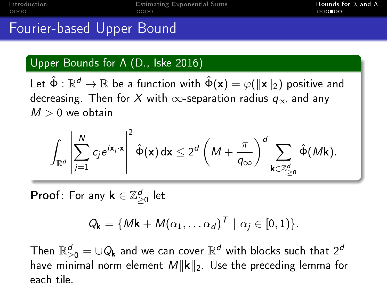[Introduction](#page-2-0) **[Estimating Exponential Sums](#page-10-0)** [Bounds for](#page-19-0) λ and Λ oooo

റ∙റെ

#### Fourier-based Upper Bound

#### Upper Bounds for Λ (D., Iske 2016)

Let  $\hat{\Phi}:\mathbb{R}^d\to\mathbb{R}$  be a function with  $\hat{\Phi}(\mathsf{x})=\varphi(\|\mathsf{x}\|_2)$  positive and decreasing. Then for X with  $\infty$ -separation radius  $q_{\infty}$  and any  $M > 0$  we obtain

$$
\int_{\mathbb{R}^d} \left| \sum_{j=1}^N c_j e^{i\mathbf{x}_j \cdot \mathbf{x}} \right|^2 \hat{\Phi}(\mathbf{x}) d\mathbf{x} \leq 2^d \left( M + \frac{\pi}{q_{\infty}} \right)^d \sum_{\mathbf{k} \in \mathbb{Z}_{\geq 0}^d} \hat{\Phi}(M\mathbf{k}).
$$

**Proof**: For any  $\mathbf{k} \in \mathbb{Z}_{\geq 0}^d$  let

$$
Q_{\mathbf{k}} = \{ M\mathbf{k} + M(\alpha_1, \ldots \alpha_d)^T \mid \alpha_j \in [0,1) \}.
$$

Then  $\mathbb{R}_{\geq 0}^d = \cup Q_{\mathbf{k}}$  and we can cover  $\mathbb{R}^d$  with blocks such that  $2^d$ have minimal norm element  $M||{\bf k}||_2$ . Use the preceding lemma for each tile.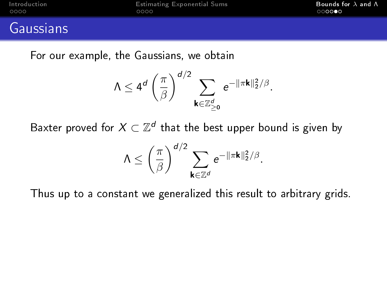#### Gaussians

For our example, the Gaussians, we obtain

$$
\mathsf{\Lambda} \leq 4^d \left(\frac{\pi}{\beta}\right)^{d/2} \sum_{\mathsf{k} \in \mathbb{Z}_{\geq 0}^d} e^{-\|\pi \mathsf{k}\|_2^2/\beta}.
$$

Baxter proved for  $X\subset \mathbb{Z}^d$  that the best upper bound is given by

$$
\Lambda \leq \left(\frac{\pi}{\beta}\right)^{d/2} \sum_{\mathbf{k} \in \mathbb{Z}^d} e^{-\|\pi \mathbf{k}\|_2^2/\beta}.
$$

Thus up to a constant we generalized this result to arbitrary grids.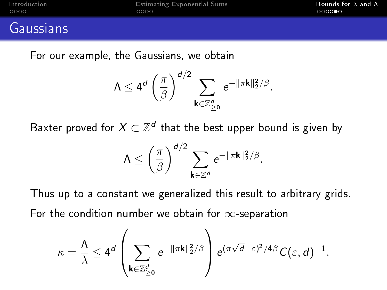#### Gaussians

For our example, the Gaussians, we obtain

$$
\mathsf{\Lambda} \leq 4^d \left(\frac{\pi}{\beta}\right)^{d/2} \sum_{\mathsf{k} \in \mathbb{Z}_{\geq 0}^d} e^{-\|\pi \mathsf{k}\|_2^2/\beta}.
$$

Baxter proved for  $X\subset \mathbb{Z}^d$  that the best upper bound is given by

$$
\Lambda \leq \left(\frac{\pi}{\beta}\right)^{d/2} \sum_{\mathbf{k} \in \mathbb{Z}^d} e^{-\|\pi \mathbf{k}\|_2^2/\beta}.
$$

Thus up to a constant we generalized this result to arbitrary grids. For the condition number we obtain for  $\infty$ -separation

$$
\kappa = \frac{\Lambda}{\lambda} \leq 4^d \left( \sum_{\mathbf{k} \in \mathbb{Z}_{\geq 0}^d} e^{-\|\pi \mathbf{k}\|_2^2/\beta} \right) e^{(\pi \sqrt{d} + \varepsilon)^2/4\beta} C(\varepsilon, d)^{-1}.
$$